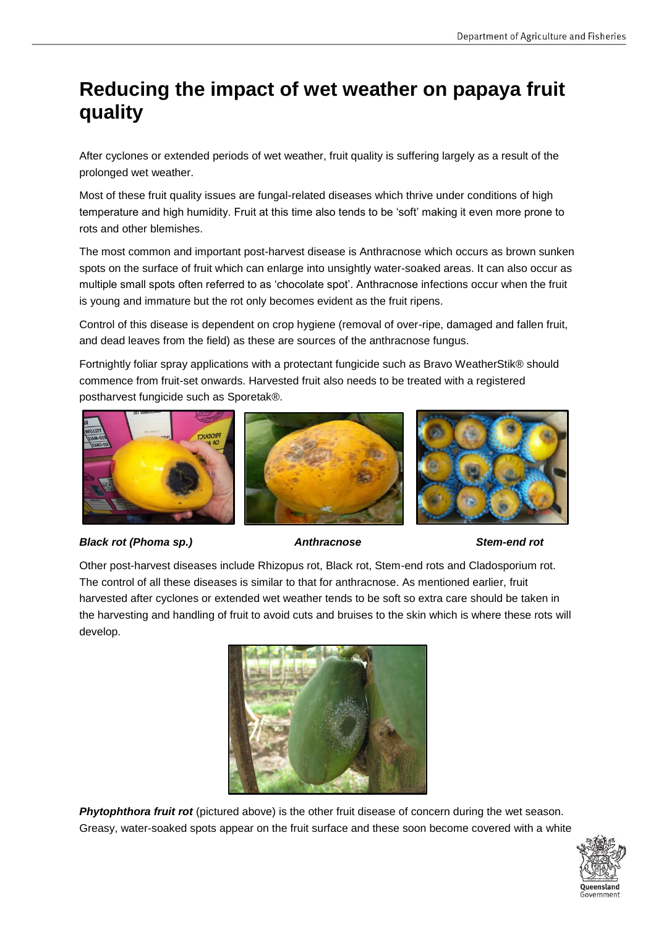# **Reducing the impact of wet weather on papaya fruit quality**

After cyclones or extended periods of wet weather, fruit quality is suffering largely as a result of the prolonged wet weather.

Most of these fruit quality issues are fungal-related diseases which thrive under conditions of high temperature and high humidity. Fruit at this time also tends to be 'soft' making it even more prone to rots and other blemishes.

The most common and important post-harvest disease is Anthracnose which occurs as brown sunken spots on the surface of fruit which can enlarge into unsightly water-soaked areas. It can also occur as multiple small spots often referred to as 'chocolate spot'. Anthracnose infections occur when the fruit is young and immature but the rot only becomes evident as the fruit ripens.

Control of this disease is dependent on crop hygiene (removal of over-ripe, damaged and fallen fruit, and dead leaves from the field) as these are sources of the anthracnose fungus.

Fortnightly foliar spray applications with a protectant fungicide such as Bravo WeatherStik® should commence from fruit-set onwards. Harvested fruit also needs to be treated with a registered postharvest fungicide such as Sporetak®.



### *Black rot (Phoma sp.) Anthracnose Stem-end rot*





Other post-harvest diseases include Rhizopus rot, Black rot, Stem-end rots and Cladosporium rot. The control of all these diseases is similar to that for anthracnose. As mentioned earlier, fruit harvested after cyclones or extended wet weather tends to be soft so extra care should be taken in the harvesting and handling of fruit to avoid cuts and bruises to the skin which is where these rots will develop.



**Phytophthora fruit rot** (pictured above) is the other fruit disease of concern during the wet season. Greasy, water-soaked spots appear on the fruit surface and these soon become covered with a white